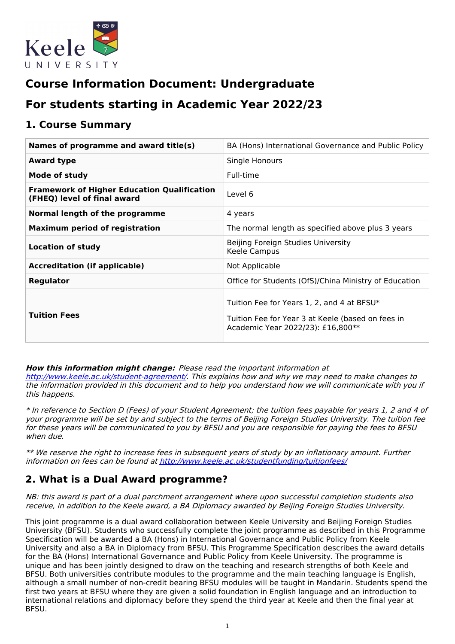

# **Course Information Document: Undergraduate**

# **For students starting in Academic Year 2022/23**

### **1. Course Summary**

| Names of programme and award title(s)                                             | BA (Hons) International Governance and Public Policy                                                                                 |
|-----------------------------------------------------------------------------------|--------------------------------------------------------------------------------------------------------------------------------------|
| <b>Award type</b>                                                                 | Single Honours                                                                                                                       |
| Mode of study                                                                     | Full-time                                                                                                                            |
| <b>Framework of Higher Education Qualification</b><br>(FHEQ) level of final award | Level 6                                                                                                                              |
| Normal length of the programme                                                    | 4 years                                                                                                                              |
| <b>Maximum period of registration</b>                                             | The normal length as specified above plus 3 years                                                                                    |
| <b>Location of study</b>                                                          | Beijing Foreign Studies University<br>Keele Campus                                                                                   |
| <b>Accreditation (if applicable)</b>                                              | Not Applicable                                                                                                                       |
| Regulator                                                                         | Office for Students (OfS)/China Ministry of Education                                                                                |
| <b>Tuition Fees</b>                                                               | Tuition Fee for Years 1, 2, and 4 at BFSU*<br>Tuition Fee for Year 3 at Keele (based on fees in<br>Academic Year 2022/23): £16,800** |

#### **How this information might change:** Please read the important information at

<http://www.keele.ac.uk/student-agreement/>. This explains how and why we may need to make changes to the information provided in this document and to help you understand how we will communicate with you if this happens.

\* In reference to Section D (Fees) of your Student Agreement; the tuition fees payable for years 1, 2 and 4 of your programme will be set by and subject to the terms of Beijing Foreign Studies University. The tuition fee for these years will be communicated to you by BFSU and you are responsible for paying the fees to BFSU when due.

\*\* We reserve the right to increase fees in subsequent years of study by an inflationary amount. Further information on fees can be found at <http://www.keele.ac.uk/studentfunding/tuitionfees/>

# **2. What is a Dual Award programme?**

NB: this award is part of <sup>a</sup> dual parchment arrangement where upon successful completion students also receive, in addition to the Keele award, <sup>a</sup> BA Diplomacy awarded by Beijing Foreign Studies University.

This joint programme is a dual award collaboration between Keele University and Beijing Foreign Studies University (BFSU). Students who successfully complete the joint programme as described in this Programme Specification will be awarded a BA (Hons) in International Governance and Public Policy from Keele University and also a BA in Diplomacy from BFSU. This Programme Specification describes the award details for the BA (Hons) International Governance and Public Policy from Keele University. The programme is unique and has been jointly designed to draw on the teaching and research strengths of both Keele and BFSU. Both universities contribute modules to the programme and the main teaching language is English, although a small number of non-credit bearing BFSU modules will be taught in Mandarin. Students spend the first two years at BFSU where they are given a solid foundation in English language and an introduction to international relations and diplomacy before they spend the third year at Keele and then the final year at BFSU.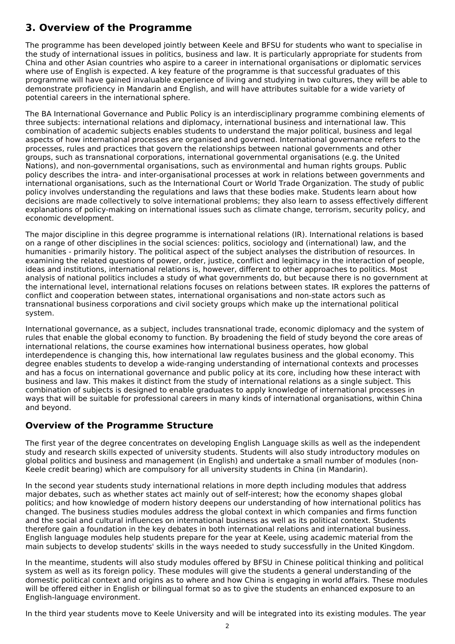# **3. Overview of the Programme**

The programme has been developed jointly between Keele and BFSU for students who want to specialise in the study of international issues in politics, business and law. It is particularly appropriate for students from China and other Asian countries who aspire to a career in international organisations or diplomatic services where use of English is expected. A key feature of the programme is that successful graduates of this programme will have gained invaluable experience of living and studying in two cultures, they will be able to demonstrate proficiency in Mandarin and English, and will have attributes suitable for a wide variety of potential careers in the international sphere.

The BA International Governance and Public Policy is an interdisciplinary programme combining elements of three subjects: international relations and diplomacy, international business and international law. This combination of academic subjects enables students to understand the major political, business and legal aspects of how international processes are organised and governed. International governance refers to the processes, rules and practices that govern the relationships between national governments and other groups, such as transnational corporations, international governmental organisations (e.g. the United Nations), and non-governmental organisations, such as environmental and human rights groups. Public policy describes the intra- and inter-organisational processes at work in relations between governments and international organisations, such as the International Court or World Trade Organization. The study of public policy involves understanding the regulations and laws that these bodies make. Students learn about how decisions are made collectively to solve international problems; they also learn to assess effectively different explanations of policy-making on international issues such as climate change, terrorism, security policy, and economic development.

The major discipline in this degree programme is international relations (IR). International relations is based on a range of other disciplines in the social sciences: politics, sociology and (international) law, and the humanities - primarily history. The political aspect of the subject analyses the distribution of resources. In examining the related questions of power, order, justice, conflict and legitimacy in the interaction of people, ideas and institutions, international relations is, however, different to other approaches to politics. Most analysis of national politics includes a study of what governments do, but because there is no government at the international level, international relations focuses on relations between states. IR explores the patterns of conflict and cooperation between states, international organisations and non-state actors such as transnational business corporations and civil society groups which make up the international political system.

International governance, as a subject, includes transnational trade, economic diplomacy and the system of rules that enable the global economy to function. By broadening the field of study beyond the core areas of international relations, the course examines how international business operates, how global interdependence is changing this, how international law regulates business and the global economy. This degree enables students to develop a wide-ranging understanding of international contexts and processes and has a focus on international governance and public policy at its core, including how these interact with business and law. This makes it distinct from the study of international relations as a single subject. This combination of subjects is designed to enable graduates to apply knowledge of international processes in ways that will be suitable for professional careers in many kinds of international organisations, within China and beyond.

### **Overview of the Programme Structure**

The first year of the degree concentrates on developing English Language skills as well as the independent study and research skills expected of university students. Students will also study introductory modules on global politics and business and management (in English) and undertake a small number of modules (non-Keele credit bearing) which are compulsory for all university students in China (in Mandarin).

In the second year students study international relations in more depth including modules that address major debates, such as whether states act mainly out of self-interest; how the economy shapes global politics; and how knowledge of modern history deepens our understanding of how international politics has changed. The business studies modules address the global context in which companies and firms function and the social and cultural influences on international business as well as its political context. Students therefore gain a foundation in the key debates in both international relations and international business. English language modules help students prepare for the year at Keele, using academic material from the main subjects to develop students' skills in the ways needed to study successfully in the United Kingdom.

In the meantime, students will also study modules offered by BFSU in Chinese political thinking and political system as well as its foreign policy. These modules will give the students a general understanding of the domestic political context and origins as to where and how China is engaging in world affairs. These modules will be offered either in English or bilingual format so as to give the students an enhanced exposure to an English-language environment.

In the third year students move to Keele University and will be integrated into its existing modules. The year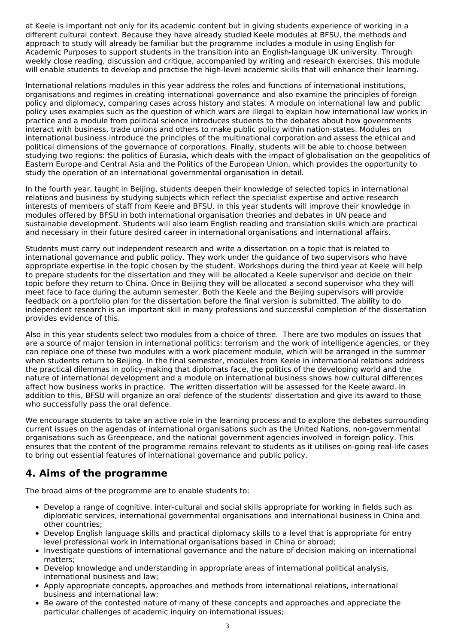at Keele is important not only for its academic content but in giving students experience of working in a different cultural context. Because they have already studied Keele modules at BFSU, the methods and approach to study will already be familiar but the programme includes a module in using English for Academic Purposes to support students in the transition into an English-language UK university. Through weekly close reading, discussion and critique, accompanied by writing and research exercises, this module will enable students to develop and practise the high-level academic skills that will enhance their learning.

International relations modules in this year address the roles and functions of international institutions, organisations and regimes in creating international governance and also examine the principles of foreign policy and diplomacy, comparing cases across history and states. A module on international law and public policy uses examples such as the question of which wars are illegal to explain how international law works in practice and a module from political science introduces students to the debates about how governments interact with business, trade unions and others to make public policy within nation-states. Modules on international business introduce the principles of the multinational corporation and assess the ethical and political dimensions of the governance of corporations. Finally, students will be able to choose between studying two regions: the politics of Eurasia, which deals with the impact of globalisation on the geopolitics of Eastern Europe and Central Asia and the Politics of the European Union, which provides the opportunity to study the operation of an international governmental organisation in detail.

In the fourth year, taught in Beijing, students deepen their knowledge of selected topics in international relations and business by studying subjects which reflect the specialist expertise and active research interests of members of staff from Keele and BFSU. In this year students will improve their knowledge in modules offered by BFSU in both international organisation theories and debates in UN peace and sustainable development. Students will also learn English reading and translation skills which are practical and necessary in their future desired career in international organisations and international affairs.

Students must carry out independent research and write a dissertation on a topic that is related to international governance and public policy. They work under the guidance of two supervisors who have appropriate expertise in the topic chosen by the student. Workshops during the third year at Keele will help to prepare students for the dissertation and they will be allocated a Keele supervisor and decide on their topic before they return to China. Once in Beijing they will be allocated a second supervisor who they will meet face to face during the autumn semester. Both the Keele and the Beijing supervisors will provide feedback on a portfolio plan for the dissertation before the final version is submitted. The ability to do independent research is an important skill in many professions and successful completion of the dissertation provides evidence of this.

Also in this year students select two modules from a choice of three. There are two modules on issues that are a source of major tension in international politics: terrorism and the work of intelligence agencies, or they can replace one of these two modules with a work placement module, which will be arranged in the summer when students return to Beijing. In the final semester, modules from Keele in international relations address the practical dilemmas in policy-making that diplomats face, the politics of the developing world and the nature of international development and a module on international business shows how cultural differences affect how business works in practice. The written dissertation will be assessed for the Keele award. In addition to this, BFSU will organize an oral defence of the students' dissertation and give its award to those who successfully pass the oral defence.

We encourage students to take an active role in the learning process and to explore the debates surrounding current issues on the agendas of international organisations such as the United Nations, non-governmental organisations such as Greenpeace, and the national government agencies involved in foreign policy. This ensures that the content of the programme remains relevant to students as it utilises on-going real-life cases to bring out essential features of international governance and public policy.

# **4. Aims of the programme**

The broad aims of the programme are to enable students to:

- Develop a range of cognitive, inter-cultural and social skills appropriate for working in fields such as diplomatic services, international governmental organisations and international business in China and other countries;
- Develop English language skills and practical diplomacy skills to a level that is appropriate for entry level professional work in international organisations based in China or abroad;
- Investigate questions of international governance and the nature of decision making on international  $\bullet$ matters;
- Develop knowledge and understanding in appropriate areas of international political analysis, international business and law;
- Apply appropriate concepts, approaches and methods from international relations, international business and international law;
- Be aware of the contested nature of many of these concepts and approaches and appreciate the particular challenges of academic inquiry on international issues;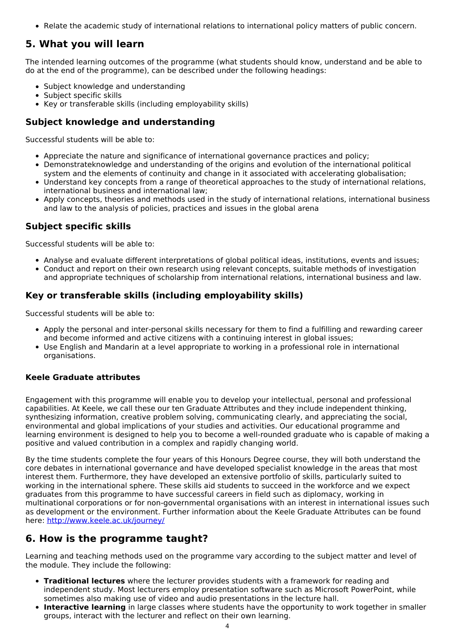Relate the academic study of international relations to international policy matters of public concern.

### **5. What you will learn**

The intended learning outcomes of the programme (what students should know, understand and be able to do at the end of the programme), can be described under the following headings:

- Subject knowledge and understanding
- Subject specific skills
- Key or transferable skills (including employability skills)

### **Subject knowledge and understanding**

Successful students will be able to:

- Appreciate the nature and significance of international governance practices and policy;
- Demonstrateknowledge and understanding of the origins and evolution of the international political system and the elements of continuity and change in it associated with accelerating globalisation;
- Understand key concepts from a range of theoretical approaches to the study of international relations, international business and international law;
- Apply concepts, theories and methods used in the study of international relations, international business and law to the analysis of policies, practices and issues in the global arena

### **Subject specific skills**

Successful students will be able to:

- Analyse and evaluate different interpretations of global political ideas, institutions, events and issues;
- Conduct and report on their own research using relevant concepts, suitable methods of investigation and appropriate techniques of scholarship from international relations, international business and law.

### **Key or transferable skills (including employability skills)**

Successful students will be able to:

- Apply the personal and inter-personal skills necessary for them to find a fulfilling and rewarding career and become informed and active citizens with a continuing interest in global issues;
- Use English and Mandarin at a level appropriate to working in a professional role in international organisations.

#### **Keele Graduate attributes**

Engagement with this programme will enable you to develop your intellectual, personal and professional capabilities. At Keele, we call these our ten Graduate Attributes and they include independent thinking, synthesizing information, creative problem solving, communicating clearly, and appreciating the social, environmental and global implications of your studies and activities. Our educational programme and learning environment is designed to help you to become a well-rounded graduate who is capable of making a positive and valued contribution in a complex and rapidly changing world.

By the time students complete the four years of this Honours Degree course, they will both understand the core debates in international governance and have developed specialist knowledge in the areas that most interest them. Furthermore, they have developed an extensive portfolio of skills, particularly suited to working in the international sphere. These skills aid students to succeed in the workforce and we expect graduates from this programme to have successful careers in field such as diplomacy, working in multinational corporations or for non-governmental organisations with an interest in international issues such as development or the environment. Further information about the Keele Graduate Attributes can be found here: <http://www.keele.ac.uk/journey/>

### **6. How is the programme taught?**

Learning and teaching methods used on the programme vary according to the subject matter and level of the module. They include the following:

- **Traditional lectures** where the lecturer provides students with a framework for reading and independent study. Most lecturers employ presentation software such as Microsoft PowerPoint, while sometimes also making use of video and audio presentations in the lecture hall.
- **Interactive learning** in large classes where students have the opportunity to work together in smaller groups, interact with the lecturer and reflect on their own learning.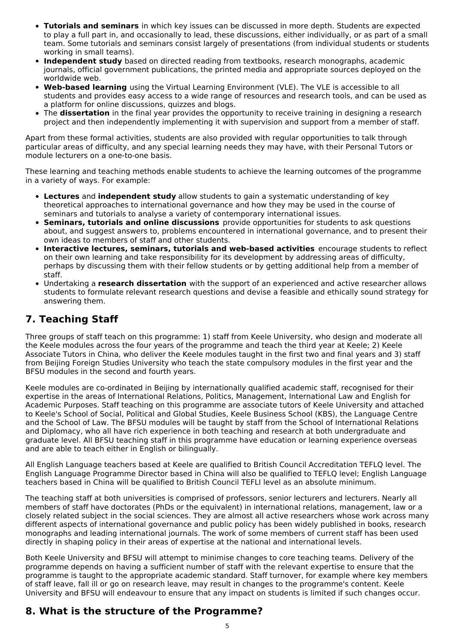- **Tutorials and seminars** in which key issues can be discussed in more depth. Students are expected to play a full part in, and occasionally to lead, these discussions, either individually, or as part of a small team. Some tutorials and seminars consist largely of presentations (from individual students or students working in small teams).
- **Independent study** based on directed reading from textbooks, research monographs, academic journals, official government publications, the printed media and appropriate sources deployed on the worldwide web.
- **Web-based learning** using the Virtual Learning Environment (VLE). The VLE is accessible to all students and provides easy access to a wide range of resources and research tools, and can be used as a platform for online discussions, quizzes and blogs.
- The **dissertation** in the final year provides the opportunity to receive training in designing a research project and then independently implementing it with supervision and support from a member of staff.

Apart from these formal activities, students are also provided with regular opportunities to talk through particular areas of difficulty, and any special learning needs they may have, with their Personal Tutors or module lecturers on a one-to-one basis.

These learning and teaching methods enable students to achieve the learning outcomes of the programme in a variety of ways. For example:

- **Lectures** and **independent study** allow students to gain a systematic understanding of key theoretical approaches to international governance and how they may be used in the course of seminars and tutorials to analyse a variety of contemporary international issues.
- **Seminars, tutorials and online discussions** provide opportunities for students to ask questions about, and suggest answers to, problems encountered in international governance, and to present their own ideas to members of staff and other students.
- **Interactive lectures, seminars, tutorials and web-based activities** encourage students to reflect on their own learning and take responsibility for its development by addressing areas of difficulty, perhaps by discussing them with their fellow students or by getting additional help from a member of staff.
- Undertaking a **research dissertation** with the support of an experienced and active researcher allows students to formulate relevant research questions and devise a feasible and ethically sound strategy for answering them.

### **7. Teaching Staff**

Three groups of staff teach on this programme: 1) staff from Keele University, who design and moderate all the Keele modules across the four years of the programme and teach the third year at Keele; 2) Keele Associate Tutors in China, who deliver the Keele modules taught in the first two and final years and 3) staff from Beijing Foreign Studies University who teach the state compulsory modules in the first year and the BFSU modules in the second and fourth years.

Keele modules are co-ordinated in Beijing by internationally qualified academic staff, recognised for their expertise in the areas of International Relations, Politics, Management, International Law and English for Academic Purposes. Staff teaching on this programme are associate tutors of Keele University and attached to Keele's School of Social, Political and Global Studies, Keele Business School (KBS), the Language Centre and the School of Law. The BFSU modules will be taught by staff from the School of International Relations and Diplomacy, who all have rich experience in both teaching and research at both undergraduate and graduate level. All BFSU teaching staff in this programme have education or learning experience overseas and are able to teach either in English or bilingually.

All English Language teachers based at Keele are qualified to British Council Accreditation TEFLQ level. The English Language Programme Director based in China will also be qualified to TEFLQ level; English Language teachers based in China will be qualified to British Council TEFLI level as an absolute minimum.

The teaching staff at both universities is comprised of professors, senior lecturers and lecturers. Nearly all members of staff have doctorates (PhDs or the equivalent) in international relations, management, law or a closely related subject in the social sciences. They are almost all active researchers whose work across many different aspects of international governance and public policy has been widely published in books, research monographs and leading international journals. The work of some members of current staff has been used directly in shaping policy in their areas of expertise at the national and international levels.

Both Keele University and BFSU will attempt to minimise changes to core teaching teams. Delivery of the programme depends on having a sufficient number of staff with the relevant expertise to ensure that the programme is taught to the appropriate academic standard. Staff turnover, for example where key members of staff leave, fall ill or go on research leave, may result in changes to the programme's content. Keele University and BFSU will endeavour to ensure that any impact on students is limited if such changes occur.

# **8. What is the structure of the Programme?**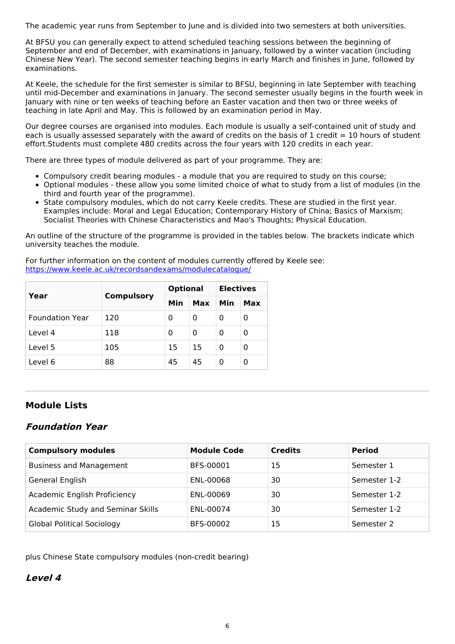The academic year runs from September to June and is divided into two semesters at both universities.

At BFSU you can generally expect to attend scheduled teaching sessions between the beginning of September and end of December, with examinations in January, followed by a winter vacation (including Chinese New Year). The second semester teaching begins in early March and finishes in June, followed by examinations.

At Keele, the schedule for the first semester is similar to BFSU, beginning in late September with teaching until mid-December and examinations in January. The second semester usually begins in the fourth week in January with nine or ten weeks of teaching before an Easter vacation and then two or three weeks of teaching in late April and May. This is followed by an examination period in May.

Our degree courses are organised into modules. Each module is usually a self-contained unit of study and each is usually assessed separately with the award of credits on the basis of 1 credit  $= 10$  hours of student effort.Students must complete 480 credits across the four years with 120 credits in each year.

There are three types of module delivered as part of your programme. They are:

- Compulsory credit bearing modules a module that you are required to study on this course;
- Optional modules these allow you some limited choice of what to study from a list of modules (in the third and fourth year of the programme).
- State compulsory modules, which do not carry Keele credits. These are studied in the first year. Examples include: Moral and Legal Education; Contemporary History of China; Basics of Marxism; Socialist Theories with Chinese Characteristics and Mao's Thoughts; Physical Education.

An outline of the structure of the programme is provided in the tables below. The brackets indicate which university teaches the module.

For further information on the content of modules currently offered by Keele see: [https://www.keele.ac.uk/recordsandexams/modulecatalogue/](http://https//www.keele.ac.uk/recordsandexams/modulecatalogue/)

| Year                   |                   | <b>Optional</b> |     | <b>Electives</b> |     |
|------------------------|-------------------|-----------------|-----|------------------|-----|
|                        | <b>Compulsory</b> | Min             | Max | Min              | Max |
| <b>Foundation Year</b> | 120               | 0               | 0   | 0                | 0   |
| Level 4                | 118               | 0               | 0   | 0                | 0   |
| Level 5                | 105               | 15              | 15  | 0                | 0   |
| Level 6                | 88                | 45              | 45  | 0                | 0   |

### **Module Lists**

#### **Foundation Year**

| <b>Compulsory modules</b>         | <b>Module Code</b> | <b>Credits</b> | <b>Period</b> |
|-----------------------------------|--------------------|----------------|---------------|
| <b>Business and Management</b>    | BFS-00001          | 15             | Semester 1    |
| General English                   | ENL-00068          | 30             | Semester 1-2  |
| Academic English Proficiency      | ENL-00069          | 30             | Semester 1-2  |
| Academic Study and Seminar Skills | ENL-00074          | 30             | Semester 1-2  |
| <b>Global Political Sociology</b> | BFS-00002          | 15             | Semester 2    |

plus Chinese State compulsory modules (non-credit bearing)

#### **Level 4**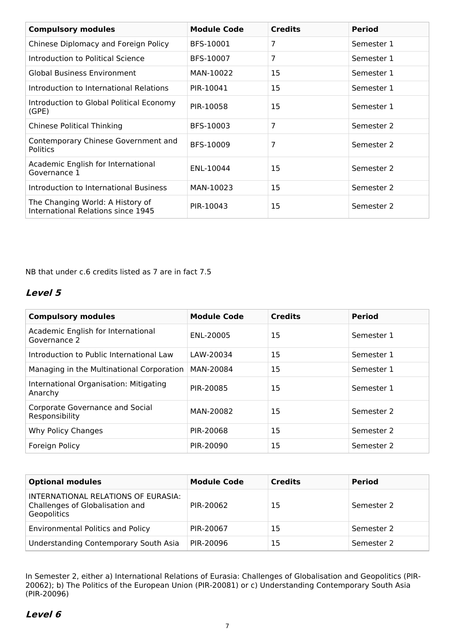| <b>Compulsory modules</b>                                              | <b>Module Code</b> | <b>Credits</b> | <b>Period</b> |
|------------------------------------------------------------------------|--------------------|----------------|---------------|
| Chinese Diplomacy and Foreign Policy                                   | BFS-10001          | 7              | Semester 1    |
| Introduction to Political Science                                      | BFS-10007          | 7              | Semester 1    |
| <b>Global Business Environment</b>                                     | MAN-10022          | 15             | Semester 1    |
| Introduction to International Relations                                | PIR-10041          | 15             | Semester 1    |
| Introduction to Global Political Economy<br>(GPE)                      | PIR-10058          | 15             | Semester 1    |
| <b>Chinese Political Thinking</b>                                      | BFS-10003          | 7              | Semester 2    |
| Contemporary Chinese Government and<br><b>Politics</b>                 | BFS-10009          | 7              | Semester 2    |
| Academic English for International<br>Governance 1                     | ENL-10044          | 15             | Semester 2    |
| Introduction to International Business                                 | MAN-10023          | 15             | Semester 2    |
| The Changing World: A History of<br>International Relations since 1945 | PIR-10043          | 15             | Semester 2    |

NB that under c.6 credits listed as 7 are in fact 7.5

#### **Level 5**

| <b>Compulsory modules</b>                                | <b>Module Code</b> | <b>Credits</b> | <b>Period</b> |
|----------------------------------------------------------|--------------------|----------------|---------------|
| Academic English for International<br>Governance 2       | ENL-20005          | 15             | Semester 1    |
| Introduction to Public International Law                 | LAW-20034          | 15             | Semester 1    |
| Managing in the Multinational Corporation                | MAN-20084          | 15             | Semester 1    |
| International Organisation: Mitigating<br>Anarchy        | PIR-20085          | 15             | Semester 1    |
| <b>Corporate Governance and Social</b><br>Responsibility | MAN-20082          | 15             | Semester 2    |
| Why Policy Changes                                       | PIR-20068          | 15             | Semester 2    |
| Foreign Policy                                           | PIR-20090          | 15             | Semester 2    |

| <b>Optional modules</b>                                                               | <b>Module Code</b> | <b>Credits</b> | <b>Period</b> |
|---------------------------------------------------------------------------------------|--------------------|----------------|---------------|
| INTERNATIONAL RELATIONS OF EURASIA:<br>Challenges of Globalisation and<br>Geopolitics | PIR-20062          | 15             | Semester 2    |
| <b>Environmental Politics and Policy</b>                                              | PIR-20067          | 15             | Semester 2    |
| Understanding Contemporary South Asia                                                 | PIR-20096          | 15             | Semester 2    |

In Semester 2, either a) International Relations of Eurasia: Challenges of Globalisation and Geopolitics (PIR-20062); b) The Politics of the European Union (PIR-20081) or c) Understanding Contemporary South Asia (PIR-20096)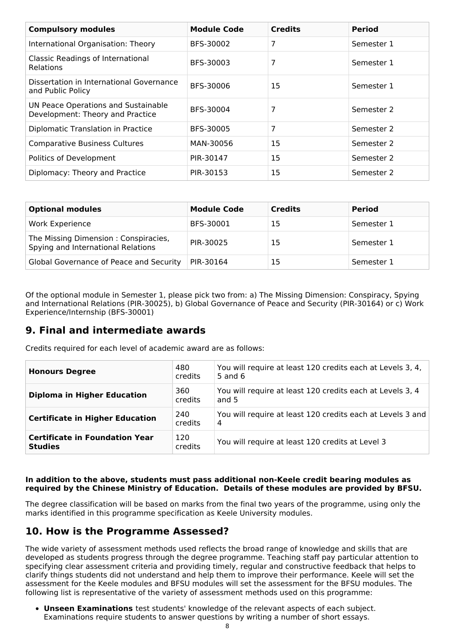| <b>Compulsory modules</b>                                               | <b>Module Code</b> | <b>Credits</b> | <b>Period</b> |
|-------------------------------------------------------------------------|--------------------|----------------|---------------|
| International Organisation: Theory                                      | BFS-30002          | 7              | Semester 1    |
| Classic Readings of International<br><b>Relations</b>                   | BFS-30003          | 7              | Semester 1    |
| Dissertation in International Governance<br>and Public Policy           | BFS-30006          | 15             | Semester 1    |
| UN Peace Operations and Sustainable<br>Development: Theory and Practice | BFS-30004          | 7              | Semester 2    |
| Diplomatic Translation in Practice                                      | BFS-30005          | 7              | Semester 2    |
| <b>Comparative Business Cultures</b>                                    | MAN-30056          | 15             | Semester 2    |
| Politics of Development                                                 | PIR-30147          | 15             | Semester 2    |
| Diplomacy: Theory and Practice                                          | PIR-30153          | 15             | Semester 2    |

| <b>Optional modules</b>                                                    | <b>Module Code</b> | <b>Credits</b> | <b>Period</b> |
|----------------------------------------------------------------------------|--------------------|----------------|---------------|
| Work Experience                                                            | BFS-30001          | 15             | Semester 1    |
| The Missing Dimension: Conspiracies,<br>Spying and International Relations | PIR-30025          | 15             | Semester 1    |
| Global Governance of Peace and Security                                    | PIR-30164          | 15             | Semester 1    |

Of the optional module in Semester 1, please pick two from: a) The Missing Dimension: Conspiracy, Spying and International Relations (PIR-30025), b) Global Governance of Peace and Security (PIR-30164) or c) Work Experience/Internship (BFS-30001)

### **9. Final and intermediate awards**

Credits required for each level of academic award are as follows:

| <b>Honours Degree</b>                                   | 480<br>credits | You will require at least 120 credits each at Levels 3, 4,<br>5 and $6$ |
|---------------------------------------------------------|----------------|-------------------------------------------------------------------------|
| <b>Diploma in Higher Education</b>                      | 360<br>credits | You will require at least 120 credits each at Levels 3, 4<br>and 5      |
| <b>Certificate in Higher Education</b>                  | 240<br>credits | You will require at least 120 credits each at Levels 3 and<br>4         |
| <b>Certificate in Foundation Year</b><br><b>Studies</b> | 120<br>credits | You will require at least 120 credits at Level 3                        |

**In addition to the above, students must pass additional non-Keele credit bearing modules as required by the Chinese Ministry of Education. Details of these modules are provided by BFSU.**

The degree classification will be based on marks from the final two years of the programme, using only the marks identified in this programme specification as Keele University modules.

### **10. How is the Programme Assessed?**

The wide variety of assessment methods used reflects the broad range of knowledge and skills that are developed as students progress through the degree programme. Teaching staff pay particular attention to specifying clear assessment criteria and providing timely, regular and constructive feedback that helps to clarify things students did not understand and help them to improve their performance. Keele will set the assessment for the Keele modules and BFSU modules will set the assessment for the BFSU modules. The following list is representative of the variety of assessment methods used on this programme:

**Unseen Examinations** test students' knowledge of the relevant aspects of each subject. Examinations require students to answer questions by writing a number of short essays.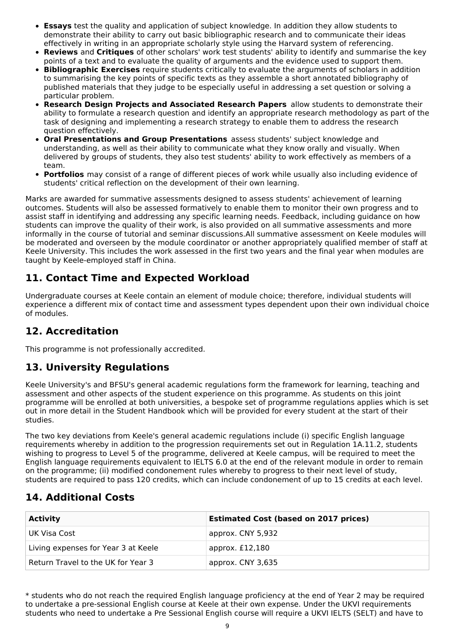- **Essays** test the quality and application of subject knowledge. In addition they allow students to demonstrate their ability to carry out basic bibliographic research and to communicate their ideas effectively in writing in an appropriate scholarly style using the Harvard system of referencing.
- **Reviews** and **Critiques** of other scholars' work test students' ability to identify and summarise the key points of a text and to evaluate the quality of arguments and the evidence used to support them.
- **Bibliographic Exercises** require students critically to evaluate the arguments of scholars in addition to summarising the key points of specific texts as they assemble a short annotated bibliography of published materials that they judge to be especially useful in addressing a set question or solving a particular problem.
- **Research Design Projects and Associated Research Papers** allow students to demonstrate their ability to formulate a research question and identify an appropriate research methodology as part of the task of designing and implementing a research strategy to enable them to address the research question effectively.
- **Oral Presentations and Group Presentations** assess students' subject knowledge and understanding, as well as their ability to communicate what they know orally and visually. When delivered by groups of students, they also test students' ability to work effectively as members of a team.
- **Portfolios** may consist of a range of different pieces of work while usually also including evidence of students' critical reflection on the development of their own learning.

Marks are awarded for summative assessments designed to assess students' achievement of learning outcomes. Students will also be assessed formatively to enable them to monitor their own progress and to assist staff in identifying and addressing any specific learning needs. Feedback, including guidance on how students can improve the quality of their work, is also provided on all summative assessments and more informally in the course of tutorial and seminar discussions.All summative assessment on Keele modules will be moderated and overseen by the module coordinator or another appropriately qualified member of staff at Keele University. This includes the work assessed in the first two years and the final year when modules are taught by Keele-employed staff in China.

# **11. Contact Time and Expected Workload**

Undergraduate courses at Keele contain an element of module choice; therefore, individual students will experience a different mix of contact time and assessment types dependent upon their own individual choice of modules.

# **12. Accreditation**

This programme is not professionally accredited.

# **13. University Regulations**

Keele University's and BFSU's general academic regulations form the framework for learning, teaching and assessment and other aspects of the student experience on this programme. As students on this joint programme will be enrolled at both universities, a bespoke set of programme regulations applies which is set out in more detail in the Student Handbook which will be provided for every student at the start of their studies.

The two key deviations from Keele's general academic regulations include (i) specific English language requirements whereby in addition to the progression requirements set out in Regulation 1A.11.2, students wishing to progress to Level 5 of the programme, delivered at Keele campus, will be required to meet the English language requirements equivalent to IELTS 6.0 at the end of the relevant module in order to remain on the programme; (ii) modified condonement rules whereby to progress to their next level of study, students are required to pass 120 credits, which can include condonement of up to 15 credits at each level.

# **14. Additional Costs**

| <b>Activity</b>                     | <b>Estimated Cost (based on 2017 prices)</b> |
|-------------------------------------|----------------------------------------------|
| ' UK Visa Cost                      | approx. CNY 5,932                            |
| Living expenses for Year 3 at Keele | approx. £12,180                              |
| Return Travel to the UK for Year 3  | approx. CNY 3,635                            |

\* students who do not reach the required English language proficiency at the end of Year 2 may be required to undertake a pre-sessional English course at Keele at their own expense. Under the UKVI requirements students who need to undertake a Pre Sessional English course will require a UKVI IELTS (SELT) and have to